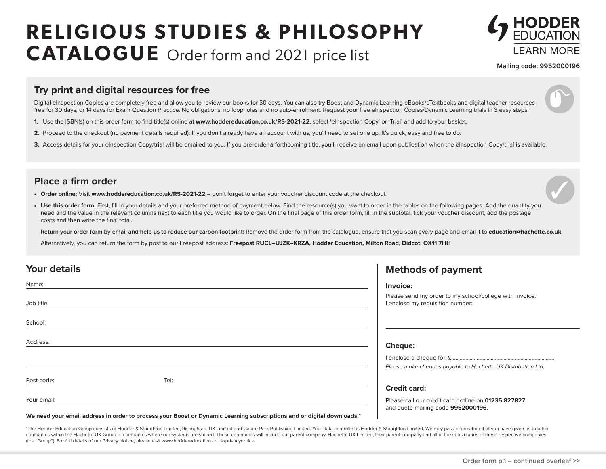# **RELIGIOUS STUDIES & PHILOSOPHY CATALOGUE** Order form and 2021 price list



**Mailing code: 9952000196**

#### **Try print and digital resources for free**

Digital eInspection Copies are completely free and allow you to review our books for 30 days. You can also try Boost and Dynamic Learning eBooks/eTextbooks and digital teacher resources free for 30 days, or 14 days for Exam Question Practice. No obligations, no loopholes and no auto-enrolment. Request your free eInspection Copies/Dynamic Learning trials in 3 easy steps:

- **1.** Use the ISBN(s) on this order form to find title(s) online at **www.hoddereducation.co.uk/RS-2021-22**, select 'eInspection Copy' or 'Trial' and add to your basket.
- **2.** Proceed to the checkout (no payment details required). If you don't already have an account with us, you'll need to set one up. It's quick, easy and free to do.
- 3. Access details for your eInspection Copy/trial will be emailed to you. If you pre-order a forthcoming title, you'll receive an email upon publication when the eInspection Copy/trial is available.

#### **Place a firm order**

- **• Order online:** Visit **www.hoddereducation.co.uk/RS-2021-22** don't forget to enter your voucher discount code at the checkout.
- Use this order form: First, fill in your details and your preferred method of payment below. Find the resource(s) you want to order in the tables on the following pages. Add the quantity you need and the value in the relevant columns next to each title you would like to order. On the final page of this order form, fill in the subtotal, tick your voucher discount, add the postage costs and then write the final total.

**Return your order form by email and help us to reduce our carbon footprint:** Remove the order form from the catalogue, ensure that you scan every page and email it to **education@hachette.co.uk**

Alternatively, you can return the form by post to our Freepost address: Freepost RUCL-UJZK-KRZA, Hodder Education, Milton Road, Didcot, OX11 7HH

| <b>Your details</b> |                                                                                                                        | <b>Methods of payment</b>                                                                   |
|---------------------|------------------------------------------------------------------------------------------------------------------------|---------------------------------------------------------------------------------------------|
| Name:               |                                                                                                                        | Invoice:                                                                                    |
| Job title:          |                                                                                                                        | Please send my order to my school/college with invoice.<br>I enclose my requisition number: |
| School:             |                                                                                                                        |                                                                                             |
| Address:            |                                                                                                                        | Cheque:                                                                                     |
|                     |                                                                                                                        | Please make cheques payable to Hachette UK Distribution Ltd.                                |
| Post code:          | Tel:                                                                                                                   |                                                                                             |
|                     |                                                                                                                        | <b>Credit card:</b>                                                                         |
| Your email:         |                                                                                                                        | Please call our credit card hotline on 01235 827827<br>and quote mailing code 9952000196.   |
|                     | We need vour email address in order to process vour Boost or Dynamic Learning subscriptions and or digital downloads.* |                                                                                             |

\*The Hodder Education Group consists of Hodder & Stoughton Limited, Rising Stars UK Limited and Galore Park Publishing Limited. Your data controller is Hodder & Stoughton Limited. We may pass information that you have give

companies within the Hachette UK Group of companies where our systems are shared. These companies will include our parent company, Hachette UK Limited, their parent company and all of the subsidiaries of these respective c (the "Group"). For full details of our Privacy Notice, please visit www.hoddereducation.co.uk/privacynotice.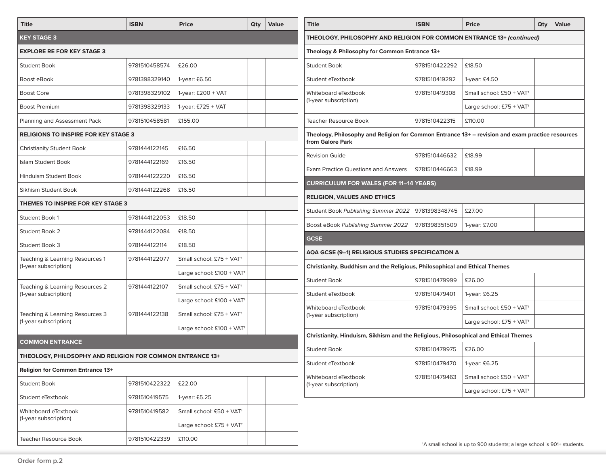| <b>Title</b>                                              | <b>ISBN</b>   | <b>Price</b>                          | Qty | Value                                         | <b>Title</b>                                                                                     | <b>ISBN</b>   | <b>Price</b>                                                                      | Qty | Value |  |  |
|-----------------------------------------------------------|---------------|---------------------------------------|-----|-----------------------------------------------|--------------------------------------------------------------------------------------------------|---------------|-----------------------------------------------------------------------------------|-----|-------|--|--|
| <b>KEY STAGE 3</b>                                        |               |                                       |     |                                               | THEOLOGY, PHILOSOPHY AND RELIGION FOR COMMON ENTRANCE 13+ (continued)                            |               |                                                                                   |     |       |  |  |
| <b>EXPLORE RE FOR KEY STAGE 3</b>                         |               |                                       |     |                                               | Theology & Philosophy for Common Entrance 13+                                                    |               |                                                                                   |     |       |  |  |
| <b>Student Book</b>                                       | 9781510458574 | £26.00                                |     |                                               | <b>Student Book</b>                                                                              | 9781510422292 | £18.50                                                                            |     |       |  |  |
| Boost eBook                                               | 9781398329140 | 1-year: £6.50                         |     |                                               | Student eTextbook                                                                                | 9781510419292 | 1-year: £4.50                                                                     |     |       |  |  |
| <b>Boost Core</b>                                         | 9781398329102 | 1-year: $£200 + VAT$                  |     |                                               | Whiteboard eTextbook                                                                             | 9781510419308 | Small school: £50 + VAT <sup>+</sup>                                              |     |       |  |  |
| <b>Boost Premium</b>                                      | 9781398329133 | 1-year: $£725 + VAT$                  |     |                                               | (1-year subscription)                                                                            |               | Large school: £75 + VAT†                                                          |     |       |  |  |
| Planning and Assessment Pack                              | 9781510458581 | £155.00                               |     |                                               | <b>Teacher Resource Book</b>                                                                     | 9781510422315 | £110.00                                                                           |     |       |  |  |
| <b>RELIGIONS TO INSPIRE FOR KEY STAGE 3</b>               |               |                                       |     |                                               | Theology, Philosophy and Religion for Common Entrance 13+ – revision and exam practice resources |               |                                                                                   |     |       |  |  |
| <b>Christianity Student Book</b>                          | 9781444122145 | £16.50                                |     |                                               | from Galore Park                                                                                 |               |                                                                                   |     |       |  |  |
| Islam Student Book                                        | 9781444122169 | £16.50                                |     |                                               | <b>Revision Guide</b>                                                                            | 9781510446632 | £18.99                                                                            |     |       |  |  |
| Hinduism Student Book                                     | 9781444122220 | £16.50                                |     |                                               | <b>Exam Practice Questions and Answers</b>                                                       | 9781510446663 | £18.99                                                                            |     |       |  |  |
| £16.50<br>Sikhism Student Book<br>9781444122268           |               |                                       |     | <b>CURRICULUM FOR WALES (FOR 11-14 YEARS)</b> |                                                                                                  |               |                                                                                   |     |       |  |  |
| THEMES TO INSPIRE FOR KEY STAGE 3                         |               |                                       |     |                                               | <b>RELIGION, VALUES AND ETHICS</b>                                                               |               |                                                                                   |     |       |  |  |
| Student Book 1                                            | 9781444122053 | £18.50                                |     |                                               | Student Book Publishing Summer 2022                                                              | 9781398348745 | £27.00                                                                            |     |       |  |  |
| Student Book 2                                            | 9781444122084 | £18.50                                |     |                                               | Boost eBook Publishing Summer 2022                                                               | 9781398351509 | 1-year: £7.00                                                                     |     |       |  |  |
| Student Book 3                                            | 9781444122114 | £18.50                                |     |                                               | <b>GCSE</b>                                                                                      |               |                                                                                   |     |       |  |  |
| Teaching & Learning Resources 1                           | 9781444122077 | Small school: £75 + VAT <sup>+</sup>  |     |                                               | AQA GCSE (9–1) RELIGIOUS STUDIES SPECIFICATION A                                                 |               |                                                                                   |     |       |  |  |
| (1-year subscription)                                     |               | Large school: $£100 + VAT^+$          |     |                                               | Christianity, Buddhism and the Religious, Philosophical and Ethical Themes                       |               |                                                                                   |     |       |  |  |
| Teaching & Learning Resources 2                           | 9781444122107 | Small school: £75 + VAT <sup>+</sup>  |     |                                               | <b>Student Book</b>                                                                              | 9781510479999 | £26.00                                                                            |     |       |  |  |
| (1-year subscription)                                     |               | Large school: $£100 + VAT^+$          |     |                                               | Student eTextbook                                                                                | 9781510479401 | 1-year: £6.25                                                                     |     |       |  |  |
| Teaching & Learning Resources 3                           | 9781444122138 | Small school: £75 + VAT <sup>+</sup>  |     |                                               | Whiteboard eTextbook<br>(1-year subscription)                                                    | 9781510479395 | Small school: £50 + VAT <sup>+</sup>                                              |     |       |  |  |
| (1-year subscription)                                     |               | Large school: £100 + VAT <sup>+</sup> |     |                                               |                                                                                                  |               | Large school: £75 + VAT <sup>+</sup>                                              |     |       |  |  |
| <b>COMMON ENTRANCE</b>                                    |               |                                       |     |                                               | Christianity, Hinduism, Sikhism and the Religious, Philosophical and Ethical Themes              |               |                                                                                   |     |       |  |  |
| THEOLOGY, PHILOSOPHY AND RELIGION FOR COMMON ENTRANCE 13+ |               |                                       |     |                                               | <b>Student Book</b>                                                                              | 9781510479975 | £26.00                                                                            |     |       |  |  |
| <b>Religion for Common Entrance 13+</b>                   |               |                                       |     |                                               | Student eTextbook                                                                                | 9781510479470 | 1-year: £6.25                                                                     |     |       |  |  |
| Student Book                                              | 9781510422322 | £22.00                                |     |                                               | Whiteboard eTextbook<br>(1-year subscription)                                                    | 9781510479463 | Small school: £50 + VAT <sup>+</sup>                                              |     |       |  |  |
| Student eTextbook                                         | 9781510419575 | 1-year: £5.25                         |     |                                               |                                                                                                  |               | Large school: £75 + VAT+                                                          |     |       |  |  |
| Whiteboard eTextbook                                      | 9781510419582 | Small school: £50 + VAT <sup>+</sup>  |     |                                               |                                                                                                  |               |                                                                                   |     |       |  |  |
| (1-year subscription)                                     |               | Large school: £75 + VAT <sup>+</sup>  |     |                                               |                                                                                                  |               |                                                                                   |     |       |  |  |
| Teacher Resource Book                                     | 9781510422339 | £110.00                               |     |                                               |                                                                                                  |               | <sup>t</sup> A small school is up to 900 students; a large school is 901+ student |     |       |  |  |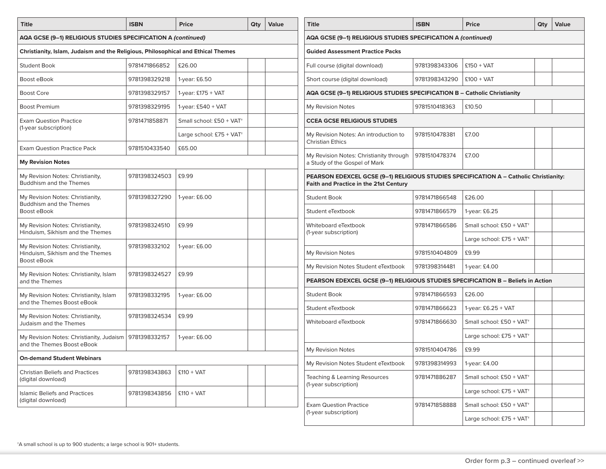| <b>Title</b>                                                                     | <b>ISBN</b>   | <b>Price</b>                         | Qty | Value               | <b>Title</b>                                                                                                                    | <b>ISBN</b>   | <b>Price</b>                         | Qty |
|----------------------------------------------------------------------------------|---------------|--------------------------------------|-----|---------------------|---------------------------------------------------------------------------------------------------------------------------------|---------------|--------------------------------------|-----|
| AQA GCSE (9-1) RELIGIOUS STUDIES SPECIFICATION A (continued)                     |               |                                      |     |                     | AQA GCSE (9-1) RELIGIOUS STUDIES SPECIFICATION A (continued)                                                                    |               |                                      |     |
| Christianity, Islam, Judaism and the Religious, Philosophical and Ethical Themes |               |                                      |     |                     | <b>Guided Assessment Practice Packs</b>                                                                                         |               |                                      |     |
| <b>Student Book</b>                                                              | 9781471866852 | £26.00                               |     |                     | Full course (digital download)                                                                                                  | 9781398343306 | $£150 + VAT$                         |     |
| Boost eBook                                                                      | 9781398329218 | 1-year: £6.50                        |     |                     | Short course (digital download)                                                                                                 | 9781398343290 | $£100 + VAT$                         |     |
| <b>Boost Core</b>                                                                | 9781398329157 | 1-year: $£175 + VAT$                 |     |                     | AQA GCSE (9-1) RELIGIOUS STUDIES SPECIFICATION B - Catholic Christianity                                                        |               |                                      |     |
| <b>Boost Premium</b>                                                             | 9781398329195 | 1-year: $£540 + VAT$                 |     |                     | My Revision Notes                                                                                                               | 9781510418363 | £10.50                               |     |
| <b>Exam Question Practice</b>                                                    | 9781471858871 | Small school: £50 + VAT <sup>+</sup> |     |                     | <b>CCEA GCSE RELIGIOUS STUDIES</b>                                                                                              |               |                                      |     |
| (1-year subscription)                                                            |               | Large school: £75 + VAT <sup>+</sup> |     |                     | My Revision Notes: An introduction to                                                                                           | 9781510478381 | £7.00                                |     |
| <b>Exam Question Practice Pack</b>                                               | 9781510433540 | £65.00                               |     |                     | <b>Christian Ethics</b>                                                                                                         |               |                                      |     |
| <b>My Revision Notes</b>                                                         |               |                                      |     |                     | My Revision Notes: Christianity through<br>a Study of the Gospel of Mark                                                        | 9781510478374 | £7.00                                |     |
| My Revision Notes: Christianity,<br><b>Buddhism and the Themes</b>               | 9781398324503 | £9.99                                |     |                     | PEARSON EDEXCEL GCSE (9-1) RELIGIOUS STUDIES SPECIFICATION A - Catholic Christianity:<br>Faith and Practice in the 21st Century |               |                                      |     |
| My Revision Notes: Christianity,                                                 | 9781398327290 | 1-year: £6.00                        |     | <b>Student Book</b> |                                                                                                                                 | 9781471866548 | £26.00                               |     |
| Buddhism and the Themes<br>Boost eBook                                           |               |                                      |     |                     | Student eTextbook                                                                                                               | 9781471866579 | 1-year: £6.25                        |     |
| My Revision Notes: Christianity,                                                 | 9781398324510 | £9.99                                |     |                     | Whiteboard eTextbook                                                                                                            | 9781471866586 | Small school: £50 + VAT <sup>+</sup> |     |
| Hinduism, Sikhism and the Themes                                                 |               |                                      |     |                     | (1-year subscription)                                                                                                           |               | Large school: $£75 + VAT^+$          |     |
| My Revision Notes: Christianity,<br>Hinduism, Sikhism and the Themes             | 9781398332102 | 1-year: £6.00                        |     |                     | My Revision Notes                                                                                                               | 9781510404809 | £9.99                                |     |
| Boost eBook                                                                      |               |                                      |     |                     | My Revision Notes Student eTextbook                                                                                             | 9781398314481 | 1-year: £4.00                        |     |
| My Revision Notes: Christianity, Islam<br>and the Themes                         | 9781398324527 | £9.99                                |     |                     | PEARSON EDEXCEL GCSE (9-1) RELIGIOUS STUDIES SPECIFICATION B - Beliefs in Action                                                |               |                                      |     |
| My Revision Notes: Christianity, Islam                                           | 9781398332195 | 1-year: £6.00                        |     |                     | <b>Student Book</b>                                                                                                             | 9781471866593 | £26.00                               |     |
| and the Themes Boost eBook                                                       |               |                                      |     |                     | Student eTextbook                                                                                                               | 9781471866623 | 1-year: £6.25 + VAT                  |     |
| My Revision Notes: Christianity,<br><b>Judaism and the Themes</b>                | 9781398324534 | £9.99                                |     |                     | Whiteboard eTextbook                                                                                                            | 9781471866630 | Small school: £50 + VAT <sup>+</sup> |     |
| My Revision Notes: Christianity, Judaism   9781398332157                         |               | 1-year: £6.00                        |     |                     |                                                                                                                                 |               | Large school: £75 + $VAT^+$          |     |
| and the Themes Boost eBook                                                       |               |                                      |     |                     | My Revision Notes                                                                                                               | 9781510404786 | £9.99                                |     |
| <b>On-demand Student Webinars</b>                                                |               |                                      |     |                     | My Revision Notes Student eTextbook                                                                                             | 9781398314993 | 1-year: £4.00                        |     |
| <b>Christian Beliefs and Practices</b><br>(digital download)                     | 9781398343863 | $£110 + VAT$                         |     |                     | Teaching & Learning Resources                                                                                                   | 9781471886287 | Small school: £50 + VAT <sup>+</sup> |     |
| <b>Islamic Beliefs and Practices</b>                                             | 9781398343856 | $£110 + VAT$                         |     |                     | (1-year subscription)                                                                                                           |               | Large school: £75 + VAT <sup>+</sup> |     |
| (digital download)                                                               |               |                                      |     |                     | <b>Exam Question Practice</b>                                                                                                   | 9781471858888 | Small school: £50 + VAT <sup>+</sup> |     |
|                                                                                  |               |                                      |     |                     | (1-year subscription)                                                                                                           |               | Large school: £75 + VAT <sup>+</sup> |     |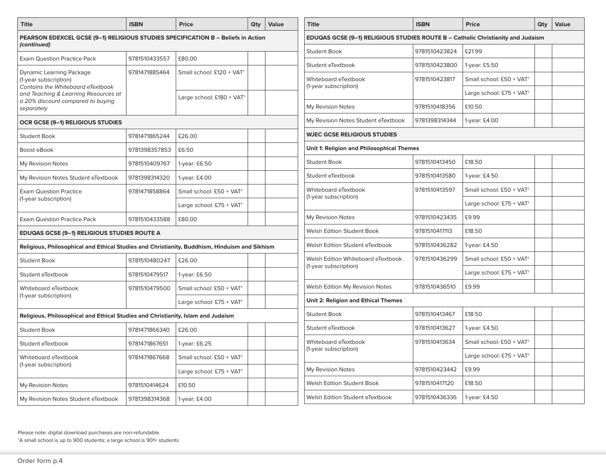| <b>Title</b>                                                                                    | <b>ISBN</b>   | Price                                 | Qty | <b>Value</b> |
|-------------------------------------------------------------------------------------------------|---------------|---------------------------------------|-----|--------------|
| PEARSON EDEXCEL GCSE (9-1) RELIGIOUS STUDIES SPECIFICATION B - Beliefs in Action<br>(continued) |               |                                       |     |              |
| <b>Exam Question Practice Pack</b>                                                              | 9781510433557 | £80.00                                |     |              |
| Dynamic Learning Package<br>(1-year subscription)<br>Contains the Whiteboard eTextbook          | 9781471885464 | Small school: £120 + VAT <sup>+</sup> |     |              |
| and Teaching & Learning Resources at<br>a 20% discount compared to buying<br>separately         |               | Large school: £180 + VAT <sup>+</sup> |     |              |
| OCR GCSE (9-1) RELIGIOUS STUDIES                                                                |               |                                       |     |              |
| <b>Student Book</b>                                                                             | 9781471865244 | £26.00                                |     |              |
| Boost eBook                                                                                     | 9781398357853 | £6.50                                 |     |              |
| My Revision Notes                                                                               | 9781510409767 | 1-year: £6.50                         |     |              |
| My Revision Notes Student eTextbook                                                             | 9781398314320 | 1-year: £4.00                         |     |              |
| <b>Exam Question Practice</b>                                                                   | 9781471858864 | Small school: £50 + VAT <sup>+</sup>  |     |              |
| (1-year subscription)                                                                           |               | Large school: £75 + VAT <sup>+</sup>  |     |              |
| <b>Exam Question Practice Pack</b>                                                              | 9781510433588 | £80.00                                |     |              |
| <b>EDUQAS GCSE (9-1) RELIGIOUS STUDIES ROUTE A</b>                                              |               |                                       |     |              |
| Religious, Philosophical and Ethical Studies and Christianity, Buddhism, Hinduism and Sikhism   |               |                                       |     |              |
| <b>Student Book</b>                                                                             | 9781510480247 | £26.00                                |     |              |
| Student eTextbook                                                                               | 9781510479517 | 1-year: £6.50                         |     |              |
| Whiteboard eTextbook                                                                            | 9781510479500 | Small school: £50 + VAT <sup>+</sup>  |     |              |
| (1-year subscription)                                                                           |               | Large school: £75 + VAT <sup>+</sup>  |     |              |
| Religious, Philosophical and Ethical Studies and Christianity, Islam and Judaism                |               |                                       |     |              |
| <b>Student Book</b>                                                                             | 9781471866340 | £26.00                                |     |              |
| Student eTextbook                                                                               | 9781471867651 | 1-year: £6.25                         |     |              |
| Whiteboard eTextbook                                                                            | 9781471867668 | Small school: £50 + VAT <sup>+</sup>  |     |              |
| (1-year subscription)                                                                           |               | Large school: £75 + VAT <sup>+</sup>  |     |              |
| My Revision Notes                                                                               | 9781510414624 | £10.50                                |     |              |
| My Revision Notes Student eTextbook                                                             | 9781398314368 | 1-year: £4.00                         |     |              |

| <b>Title</b>                                                                    | <b>ISBN</b>   | <b>Price</b>                         | Qty | Value |
|---------------------------------------------------------------------------------|---------------|--------------------------------------|-----|-------|
| EDUQAS GCSE (9–1) RELIGIOUS STUDIES ROUTE B – Catholic Christianity and Judaism |               |                                      |     |       |
| <b>Student Book</b>                                                             | 9781510423824 | £21.99                               |     |       |
| Student eTextbook                                                               | 9781510423800 | 1-year: £5.50                        |     |       |
| Whiteboard eTextbook                                                            | 9781510423817 | Small school: £50 + VAT <sup>+</sup> |     |       |
| (1-year subscription)                                                           |               | Large school: £75 + $VAT^+$          |     |       |
| My Revision Notes                                                               | 9781510418356 | £10.50                               |     |       |
| My Revision Notes Student eTextbook                                             | 9781398314344 | 1-year: £4.00                        |     |       |
| <b>WJEC GCSE RELIGIOUS STUDIES</b>                                              |               |                                      |     |       |
| <b>Unit 1: Religion and Philosophical Themes</b>                                |               |                                      |     |       |
| <b>Student Book</b>                                                             | 9781510413450 | £18.50                               |     |       |
| Student eTextbook                                                               | 9781510413580 | 1-year: £4.50                        |     |       |
| Whiteboard eTextbook                                                            | 9781510413597 | Small school: £50 + VAT <sup>+</sup> |     |       |
| (1-year subscription)                                                           |               | Large school: £75 + VAT <sup>+</sup> |     |       |
| My Revision Notes                                                               | 9781510423435 | £9.99                                |     |       |
| <b>Welsh Edition Student Book</b>                                               | 9781510417113 | £18.50                               |     |       |
| Welsh Edition Student eTextbook                                                 | 9781510436282 | 1-year: £4.50                        |     |       |
| Welsh Edition Whiteboard eTextbook                                              | 9781510436299 | Small school: £50 + VAT <sup>+</sup> |     |       |
| (1-year subscription)                                                           |               | Large school: £75 + VAT <sup>+</sup> |     |       |
| Welsh Edition My Revision Notes                                                 | 9781510436510 | £9.99                                |     |       |
| <b>Unit 2: Religion and Ethical Themes</b>                                      |               |                                      |     |       |
| <b>Student Book</b>                                                             | 9781510413467 | £18.50                               |     |       |
| Student eTextbook                                                               | 9781510413627 | 1-year: £4.50                        |     |       |
| Whiteboard eTextbook                                                            | 9781510413634 | Small school: £50 + VAT <sup>+</sup> |     |       |
| (1-year subscription)                                                           |               | Large school: £75 + VAT <sup>+</sup> |     |       |
| My Revision Notes                                                               | 9781510423442 | £9.99                                |     |       |
| Welsh Edition Student Book                                                      | 9781510417120 | £18.50                               |     |       |
| Welsh Edition Student eTextbook                                                 | 9781510436336 | 1-year: £4.50                        |     |       |
|                                                                                 |               |                                      |     |       |

Please note: digital download purchases are non-refundable.

†A small school is up to 900 students; a large school is 901+ students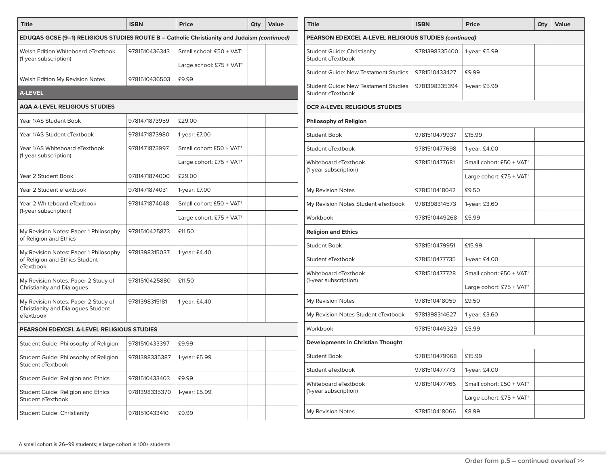| <b>Title</b>                                                                                | <b>ISBN</b>   |                                      | Qty | Value | <b>Title</b>                          |
|---------------------------------------------------------------------------------------------|---------------|--------------------------------------|-----|-------|---------------------------------------|
| EDUQAS GCSE (9-1) RELIGIOUS STUDIES ROUTE B - Catholic Christianity and Judaism (continued) |               |                                      |     |       | <b>PEARSON ED</b>                     |
| Welsh Edition Whiteboard eTextbook                                                          | 9781510436343 | Small school: £50 + VAT <sup>+</sup> |     |       | <b>Student Guide</b>                  |
| (1-year subscription)                                                                       |               | Large school: £75 + $VAT^+$          |     |       | Student eText                         |
| Welsh Edition My Revision Notes                                                             | 9781510436503 | £9.99                                |     |       | <b>Student Guide</b>                  |
| <b>A-LEVEL</b>                                                                              |               |                                      |     |       | <b>Student Guide</b><br>Student eText |
| <b>AQA A-LEVEL RELIGIOUS STUDIES</b>                                                        |               |                                      |     |       | <b>OCR A-LEVEL</b>                    |
| Year 1/AS Student Book                                                                      | 9781471873959 | £29.00                               |     |       | Philosophy of                         |
| Year 1/AS Student eTextbook                                                                 | 9781471873980 | 1-year: £7.00                        |     |       | <b>Student Book</b>                   |
| Year 1/AS Whiteboard eTextbook                                                              | 9781471873997 | Small cohort: £50 + VAT <sup>+</sup> |     |       | Student eText                         |
| (1-year subscription)                                                                       |               | Large cohort: £75 + $VAT^+$          |     |       | Whiteboard e                          |
| Year 2 Student Book                                                                         | 9781471874000 | £29.00                               |     |       | (1-year subscr                        |
| Year 2 Student eTextbook                                                                    | 9781471874031 | 1-year: £7.00                        |     |       | My Revision N                         |
| Year 2 Whiteboard eTextbook                                                                 | 9781471874048 | Small cohort: £50 + VAT <sup>+</sup> |     |       | My Revision N                         |
| (1-year subscription)                                                                       |               | Large cohort: £75 + $VAT^+$          |     |       | Workbook                              |
| My Revision Notes: Paper 1 Philosophy<br>of Religion and Ethics                             | 9781510425873 | £11.50                               |     |       | Religion and                          |
| My Revision Notes: Paper 1 Philosophy                                                       | 9781398315037 | 1-year: £4.40                        |     |       | <b>Student Book</b>                   |
| of Religion and Ethics Student<br>eTextbook                                                 |               |                                      |     |       | Student eText                         |
| My Revision Notes: Paper 2 Study of<br><b>Christianity and Dialogues</b>                    | 9781510425880 | £11.50                               |     |       | Whiteboard e<br>(1-year subscr        |
| My Revision Notes: Paper 2 Study of                                                         | 9781398315181 | 1-year: £4.40                        |     |       | My Revision N                         |
| Christianity and Dialogues Student<br>eTextbook                                             |               |                                      |     |       | My Revision N                         |
| PEARSON EDEXCEL A-LEVEL RELIGIOUS STUDIES                                                   |               |                                      |     |       | Workbook                              |
| Student Guide: Philosophy of Religion                                                       | 9781510433397 | £9.99                                |     |       | Development                           |
| Student Guide: Philosophy of Religion<br>Student eTextbook                                  | 9781398335387 | 1-year: £5.99                        |     |       | <b>Student Book</b>                   |
| Student Guide: Religion and Ethics                                                          | 9781510433403 | £9.99                                |     |       | Student eText                         |
| Student Guide: Religion and Ethics<br>Student eTextbook                                     | 9781398335370 | 1-year: £5.99                        |     |       | Whiteboard e<br>(1-year subscr        |
| <b>Student Guide: Christianity</b>                                                          | 9781510433410 | £9.99                                |     |       | My Revision N                         |

| <b>Title</b>                                                     | <b>ISBN</b>   | <b>Price</b>                           | Qty | Value |
|------------------------------------------------------------------|---------------|----------------------------------------|-----|-------|
| PEARSON EDEXCEL A-LEVEL RELIGIOUS STUDIES (continued)            |               |                                        |     |       |
| <b>Student Guide: Christianity</b><br>Student eTextbook          | 9781398335400 | 1-year: £5.99                          |     |       |
| <b>Student Guide: New Testament Studies</b>                      | 9781510433427 | £9.99                                  |     |       |
| <b>Student Guide: New Testament Studies</b><br>Student eTextbook | 9781398335394 | 1-year: £5.99                          |     |       |
| OCR A-LEVEL RELIGIOUS STUDIES                                    |               |                                        |     |       |
| <b>Philosophy of Religion</b>                                    |               |                                        |     |       |
| <b>Student Book</b>                                              | 9781510479937 | £15.99                                 |     |       |
| Student eTextbook                                                | 9781510477698 | 1-year: £4.00                          |     |       |
| Whiteboard eTextbook                                             | 9781510477681 | Small cohort: £50 + VAT <sup>+</sup>   |     |       |
| (1-year subscription)                                            |               | Large cohort: $£75 + VAT$ <sup>+</sup> |     |       |
| My Revision Notes                                                | 9781510418042 | £9.50                                  |     |       |
| My Revision Notes Student eTextbook                              | 9781398314573 | 1-year: £3.60                          |     |       |
| Workbook                                                         | 9781510449268 | £5.99                                  |     |       |
| <b>Religion and Ethics</b>                                       |               |                                        |     |       |
| <b>Student Book</b>                                              | 9781510479951 | £15.99                                 |     |       |
| Student eTextbook                                                | 9781510477735 | 1-year: £4.00                          |     |       |
| Whiteboard eTextbook                                             | 9781510477728 | Small cohort: £50 + VAT <sup>+</sup>   |     |       |
| (1-year subscription)                                            |               | Large cohort: $£75 + VAT$ <sup>+</sup> |     |       |
| My Revision Notes                                                | 9781510418059 | £9.50                                  |     |       |
| My Revision Notes Student eTextbook                              | 9781398314627 | 1-year: £3.60                          |     |       |
| Workbook                                                         | 9781510449329 | £5.99                                  |     |       |
| <b>Developments in Christian Thought</b>                         |               |                                        |     |       |
| <b>Student Book</b>                                              | 9781510479968 | £15.99                                 |     |       |
| Student eTextbook                                                | 9781510477773 | 1-year: £4.00                          |     |       |
| Whiteboard eTextbook                                             | 9781510477766 | Small cohort: £50 + VAT <sup>+</sup>   |     |       |
| (1-year subscription)                                            |               | Large cohort: £75 + VAT <sup>+</sup>   |     |       |
| My Revision Notes                                                | 9781510418066 | £8.99                                  |     |       |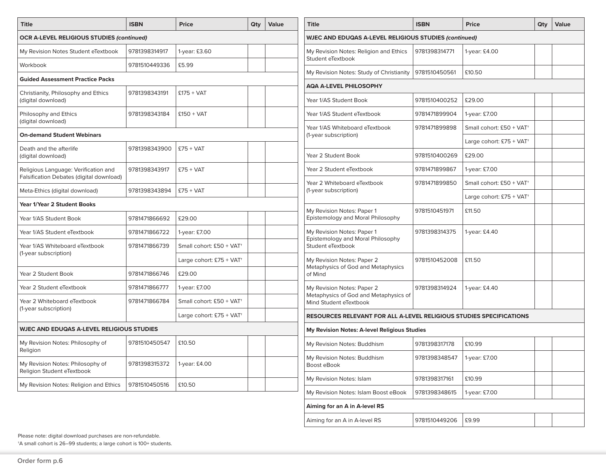| <b>Title</b>                                                                     | <b>ISBN</b>                       | <b>Price</b>                         | Qty<br>Value                                            |                                                              | <b>Title</b>                                                               | <b>ISBN</b>   | <b>Price</b>                         | Qty | Value |  |  |
|----------------------------------------------------------------------------------|-----------------------------------|--------------------------------------|---------------------------------------------------------|--------------------------------------------------------------|----------------------------------------------------------------------------|---------------|--------------------------------------|-----|-------|--|--|
| <b>OCR A-LEVEL RELIGIOUS STUDIES (continued)</b>                                 |                                   |                                      |                                                         | <b>WJEC AND EDUQAS A-LEVEL RELIGIOUS STUDIES (continued)</b> |                                                                            |               |                                      |     |       |  |  |
| My Revision Notes Student eTextbook                                              | 9781398314917                     | 1-year: £3.60                        |                                                         |                                                              | My Revision Notes: Religion and Ethics<br>Student eTextbook                | 9781398314771 | 1-year: £4.00                        |     |       |  |  |
| Workbook                                                                         | 9781510449336                     | £5.99                                |                                                         |                                                              | My Revision Notes: Study of Christianity                                   | 9781510450561 | £10.50                               |     |       |  |  |
| <b>Guided Assessment Practice Packs</b>                                          |                                   |                                      | <b>AQA A-LEVEL PHILOSOPHY</b>                           |                                                              |                                                                            |               |                                      |     |       |  |  |
| Christianity, Philosophy and Ethics<br>(digital download)                        | 9781398343191                     | $£175 + VAT$                         |                                                         |                                                              | Year 1/AS Student Book                                                     | 9781510400252 | £29.00                               |     |       |  |  |
| Philosophy and Ethics<br>(digital download)                                      | 9781398343184                     | £150 + VAT                           |                                                         |                                                              | Year 1/AS Student eTextbook                                                | 9781471899904 | 1-year: £7.00                        |     |       |  |  |
|                                                                                  | <b>On-demand Student Webinars</b> |                                      | Year 1/AS Whiteboard eTextbook<br>(1-year subscription) | 9781471899898                                                | Small cohort: £50 + VAT <sup>+</sup>                                       |               |                                      |     |       |  |  |
|                                                                                  |                                   |                                      |                                                         |                                                              | Large cohort: £75 + VAT <sup>+</sup>                                       |               |                                      |     |       |  |  |
| Death and the afterlife<br>(digital download)                                    | 9781398343900                     | $£75 + VAT$                          |                                                         |                                                              | Year 2 Student Book                                                        | 9781510400269 | £29.00                               |     |       |  |  |
| Religious Language: Verification and<br>Falsification Debates (digital download) | 9781398343917                     | $£75 + VAT$                          |                                                         |                                                              | Year 2 Student eTextbook                                                   | 9781471899867 | 1-year: £7.00                        |     |       |  |  |
|                                                                                  | 9781398343894                     | $£75 + VAT$                          |                                                         |                                                              | Year 2 Whiteboard eTextbook<br>(1-year subscription)                       | 9781471899850 | Small cohort: £50 + VAT <sup>+</sup> |     |       |  |  |
| Meta-Ethics (digital download)                                                   |                                   |                                      |                                                         | Large cohort: £75 + VAT <sup>+</sup>                         |                                                                            |               |                                      |     |       |  |  |
| Year 1/Year 2 Student Books                                                      |                                   | My Revision Notes: Paper 1           | 9781510451971                                           | £11.50                                                       |                                                                            |               |                                      |     |       |  |  |
| Year 1/AS Student Book                                                           | 9781471866692                     | £29.00                               |                                                         |                                                              | Epistemology and Moral Philosophy                                          |               |                                      |     |       |  |  |
| Year 1/AS Student eTextbook                                                      | 9781471866722                     | 1-year: £7.00                        |                                                         |                                                              | My Revision Notes: Paper 1<br>Epistemology and Moral Philosophy            | 9781398314375 | 1-year: £4.40                        |     |       |  |  |
| Year 1/AS Whiteboard eTextbook                                                   | 9781471866739                     | Small cohort: £50 + VAT <sup>+</sup> |                                                         |                                                              | Student eTextbook                                                          |               |                                      |     |       |  |  |
| (1-year subscription)                                                            |                                   | Large cohort: £75 + VAT <sup>+</sup> |                                                         |                                                              | My Revision Notes: Paper 2<br>Metaphysics of God and Metaphysics           | 9781510452008 | £11.50                               |     |       |  |  |
| Year 2 Student Book                                                              | 9781471866746                     | £29.00                               |                                                         |                                                              | of Mind                                                                    |               |                                      |     |       |  |  |
| Year 2 Student eTextbook                                                         | 9781471866777                     | 1-year: £7.00                        |                                                         |                                                              | My Revision Notes: Paper 2                                                 | 9781398314924 | 1-year: £4.40                        |     |       |  |  |
| Year 2 Whiteboard eTextbook                                                      | 9781471866784                     | Small cohort: £50 + VAT <sup>+</sup> |                                                         |                                                              | Metaphysics of God and Metaphysics of<br>Mind Student eTextbook            |               |                                      |     |       |  |  |
| (1-year subscription)                                                            |                                   | Large cohort: £75 + VAT <sup>+</sup> |                                                         |                                                              | <b>RESOURCES RELEVANT FOR ALL A-LEVEL RELIGIOUS STUDIES SPECIFICATIONS</b> |               |                                      |     |       |  |  |
| WJEC AND EDUQAS A-LEVEL RELIGIOUS STUDIES                                        |                                   |                                      |                                                         |                                                              | My Revision Notes: A-level Religious Studies                               |               |                                      |     |       |  |  |
| My Revision Notes: Philosophy of<br>Religion                                     | 9781510450547                     | £10.50                               |                                                         |                                                              | My Revision Notes: Buddhism                                                | 9781398317178 | £10.99                               |     |       |  |  |
| My Revision Notes: Philosophy of<br>Religion Student eTextbook                   | 9781398315372                     | 1-year: £4.00                        |                                                         |                                                              | My Revision Notes: Buddhism<br>Boost eBook                                 | 9781398348547 | 1-year: £7.00                        |     |       |  |  |
| My Revision Notes: Religion and Ethics                                           | 9781510450516                     | £10.50                               |                                                         |                                                              | My Revision Notes: Islam                                                   | 9781398317161 | £10.99                               |     |       |  |  |
|                                                                                  |                                   |                                      |                                                         |                                                              | My Revision Notes: Islam Boost eBook                                       | 9781398348615 | 1-year: £7.00                        |     |       |  |  |
|                                                                                  |                                   |                                      |                                                         |                                                              | Aiming for an A in A-level RS                                              |               |                                      |     |       |  |  |

Aiming for an A in A-level RS  $\vert$  9781510449206  $\vert$  £9.99

Please note: digital download purchases are non-refundable.

†A small cohort is 26–99 students; a large cohort is 100+ students.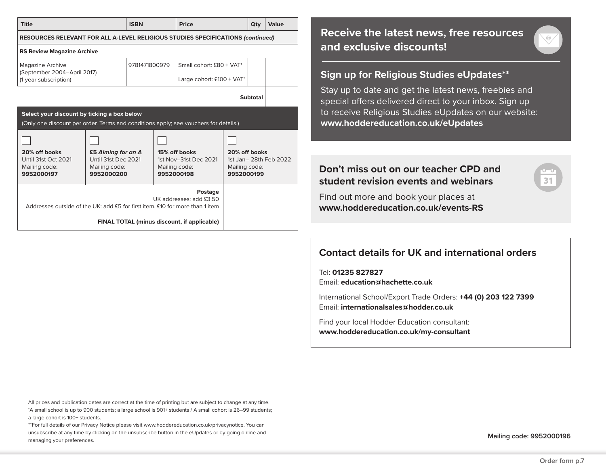| <b>Title</b>                                                                                                                        |                                                                          | <b>ISBN</b> |                                         | Price                                                                 |                                              | Qty      | Value                 |  |  |  |
|-------------------------------------------------------------------------------------------------------------------------------------|--------------------------------------------------------------------------|-------------|-----------------------------------------|-----------------------------------------------------------------------|----------------------------------------------|----------|-----------------------|--|--|--|
| <b>RESOURCES RELEVANT FOR ALL A-LEVEL RELIGIOUS STUDIES SPECIFICATIONS (continued)</b>                                              |                                                                          |             |                                         |                                                                       |                                              |          |                       |  |  |  |
| <b>RS Review Magazine Archive</b>                                                                                                   |                                                                          |             |                                         |                                                                       |                                              |          |                       |  |  |  |
| Magazine Archive                                                                                                                    | 9781471800979                                                            |             | Small cohort: £80 + VAT <sup>+</sup>    |                                                                       |                                              |          |                       |  |  |  |
| (September 2004-April 2017)<br>(1-year subscription)                                                                                |                                                                          |             | Large cohort: $£100 + VAT$ <sup>+</sup> |                                                                       |                                              |          |                       |  |  |  |
|                                                                                                                                     |                                                                          |             |                                         |                                                                       |                                              | Subtotal |                       |  |  |  |
| Select your discount by ticking a box below<br>(Only one discount per order. Terms and conditions apply; see vouchers for details.) |                                                                          |             |                                         |                                                                       |                                              |          |                       |  |  |  |
|                                                                                                                                     |                                                                          |             |                                         |                                                                       |                                              |          |                       |  |  |  |
| 20% off books<br>Until 31st Oct 2021<br>Mailing code:<br>9952000197                                                                 | £5 Aiming for an A<br>Until 31st Dec 2021<br>Mailing code:<br>9952000200 |             |                                         | 15% off books<br>1st Nov-31st Dec 2021<br>Mailing code:<br>9952000198 | 20% off books<br>Mailing code:<br>9952000199 |          | 1st Jan-28th Feb 2022 |  |  |  |
| Postage<br>UK addresses: add £3.50<br>Addresses outside of the UK: add £5 for first item, £10 for more than 1 item                  |                                                                          |             |                                         |                                                                       |                                              |          |                       |  |  |  |
|                                                                                                                                     |                                                                          |             |                                         | <b>FINAL TOTAL (minus discount, if applicable)</b>                    |                                              |          |                       |  |  |  |

## **Receive the latest news, free resources and exclusive discounts!**

#### **Sign up for Religious Studies eUpdates\*\***

Stay up to date and get the latest news, freebies and special offers delivered direct to your inbox. Sign up to receive Religious Studies eUpdates on our website: **www.hoddereducation.co.uk/eUpdates**

## **Don't miss out on our teacher CPD and student revision events and webinars**

Find out more and book your places at **www.hoddereducation.co.uk/events-RS**

# **Contact details for UK and international orders**

Tel: **01235 827827** Email: **education@hachette.co.uk**

International School/Export Trade Orders: **+44 (0) 203 122 7399**  Email: **internationalsales@hodder.co.uk**

Find your local Hodder Education consultant: **www.hoddereducation.co.uk/my-consultant**

All prices and publication dates are correct at the time of printing but are subject to change at any time. †A small school is up to 900 students; a large school is 901+ students / A small cohort is 26–99 students; a large cohort is 100+ students.

\*\*For full details of our Privacy Notice please visit www.hoddereducation.co.uk/privacynotice. You can unsubscribe at any time by clicking on the unsubscribe button in the eUpdates or by going online and managing your preferences.

**Mailing code: 9952000196**